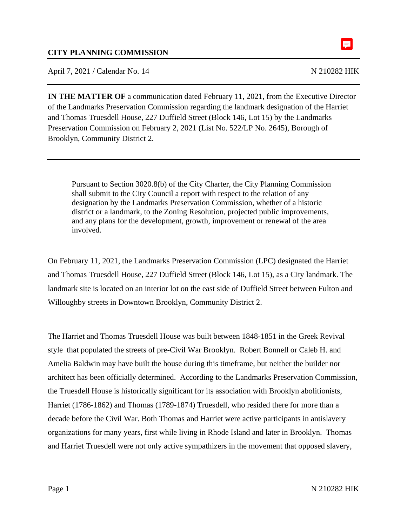April 7, 2021 / Calendar No. 14 N 210282 HIK

阜

**IN THE MATTER OF** a communication dated February 11, 2021, from the Executive Director of the Landmarks Preservation Commission regarding the landmark designation of the Harriet and Thomas Truesdell House, 227 Duffield Street (Block 146, Lot 15) by the Landmarks Preservation Commission on February 2, 2021 (List No. 522/LP No. 2645), Borough of Brooklyn, Community District 2.

Pursuant to Section 3020.8(b) of the City Charter, the City Planning Commission shall submit to the City Council a report with respect to the relation of any designation by the Landmarks Preservation Commission, whether of a historic district or a landmark, to the Zoning Resolution, projected public improvements, and any plans for the development, growth, improvement or renewal of the area involved.

On February 11, 2021, the Landmarks Preservation Commission (LPC) designated the Harriet and Thomas Truesdell House, 227 Duffield Street (Block 146, Lot 15), as a City landmark. The landmark site is located on an interior lot on the east side of Duffield Street between Fulton and Willoughby streets in Downtown Brooklyn, Community District 2.

The Harriet and Thomas Truesdell House was built between 1848-1851 in the Greek Revival style that populated the streets of pre-Civil War Brooklyn. Robert Bonnell or Caleb H. and Amelia Baldwin may have built the house during this timeframe, but neither the builder nor architect has been officially determined. According to the Landmarks Preservation Commission, the Truesdell House is historically significant for its association with Brooklyn abolitionists, Harriet (1786-1862) and Thomas (1789-1874) Truesdell, who resided there for more than a decade before the Civil War. Both Thomas and Harriet were active participants in antislavery organizations for many years, first while living in Rhode Island and later in Brooklyn. Thomas and Harriet Truesdell were not only active sympathizers in the movement that opposed slavery,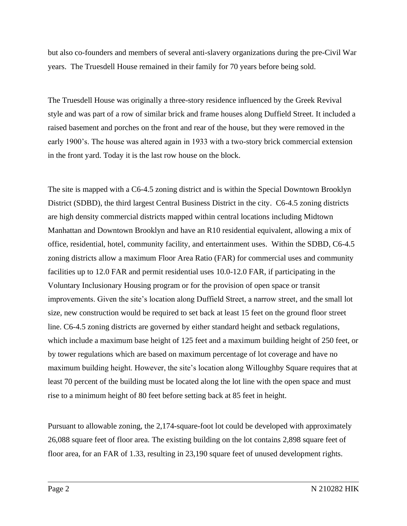but also co-founders and members of several anti-slavery organizations during the pre-Civil War years. The Truesdell House remained in their family for 70 years before being sold.

The Truesdell House was originally a three-story residence influenced by the Greek Revival style and was part of a row of similar brick and frame houses along Duffield Street. It included a raised basement and porches on the front and rear of the house, but they were removed in the early 1900's. The house was altered again in 1933 with a two-story brick commercial extension in the front yard. Today it is the last row house on the block.

The site is mapped with a C6-4.5 zoning district and is within the Special Downtown Brooklyn District (SDBD), the third largest Central Business District in the city. C6-4.5 zoning districts are high density commercial districts mapped within central locations including Midtown Manhattan and Downtown Brooklyn and have an R10 residential equivalent, allowing a mix of office, residential, hotel, community facility, and entertainment uses. Within the SDBD, C6-4.5 zoning districts allow a maximum Floor Area Ratio (FAR) for commercial uses and community facilities up to 12.0 FAR and permit residential uses 10.0-12.0 FAR, if participating in the Voluntary Inclusionary Housing program or for the provision of open space or transit improvements. Given the site's location along Duffield Street, a narrow street, and the small lot size, new construction would be required to set back at least 15 feet on the ground floor street line. C6-4.5 zoning districts are governed by either standard height and setback regulations, which include a maximum base height of 125 feet and a maximum building height of 250 feet, or by tower regulations which are based on maximum percentage of lot coverage and have no maximum building height. However, the site's location along Willoughby Square requires that at least 70 percent of the building must be located along the lot line with the open space and must rise to a minimum height of 80 feet before setting back at 85 feet in height.

Pursuant to allowable zoning, the 2,174-square-foot lot could be developed with approximately 26,088 square feet of floor area. The existing building on the lot contains 2,898 square feet of floor area, for an FAR of 1.33, resulting in 23,190 square feet of unused development rights.